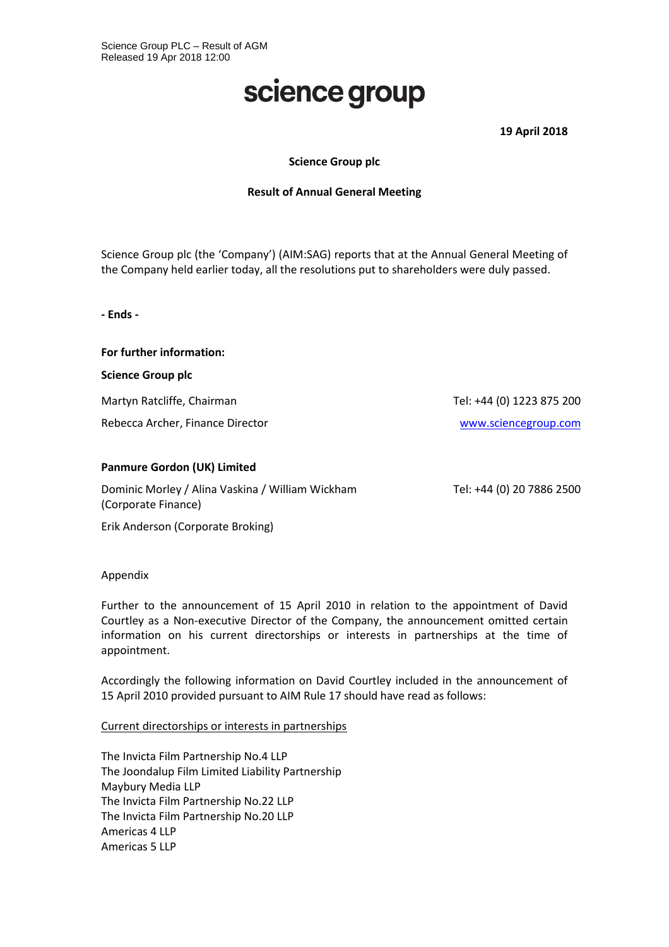# science group

**19 April 2018**

## **Science Group plc**

### **Result of Annual General Meeting**

Science Group plc (the 'Company') (AIM:SAG) reports that at the Annual General Meeting of the Company held earlier today, all the resolutions put to shareholders were duly passed.

**- Ends -**

**For further information:**

**Science Group plc**

Martyn Ratcliffe, Chairman Tel: +44 (0) 1223 875 200

Rebecca Archer, Finance Director [www.sciencegroup.com](http://www.sciencegroup.com/)

# **Panmure Gordon (UK) Limited**

Dominic Morley / Alina Vaskina / William Wickham (Corporate Finance)

Tel: +44 (0) 20 7886 2500

Erik Anderson (Corporate Broking)

### Appendix

Further to the announcement of 15 April 2010 in relation to the appointment of David Courtley as a Non-executive Director of the Company, the announcement omitted certain information on his current directorships or interests in partnerships at the time of appointment.

Accordingly the following information on David Courtley included in the announcement of 15 April 2010 provided pursuant to AIM Rule 17 should have read as follows:

### Current directorships or interests in partnerships

The Invicta Film Partnership No.4 LLP The Joondalup Film Limited Liability Partnership Maybury Media LLP The Invicta Film Partnership No.22 LLP The Invicta Film Partnership No.20 LLP Americas 4 LLP Americas 5 LLP